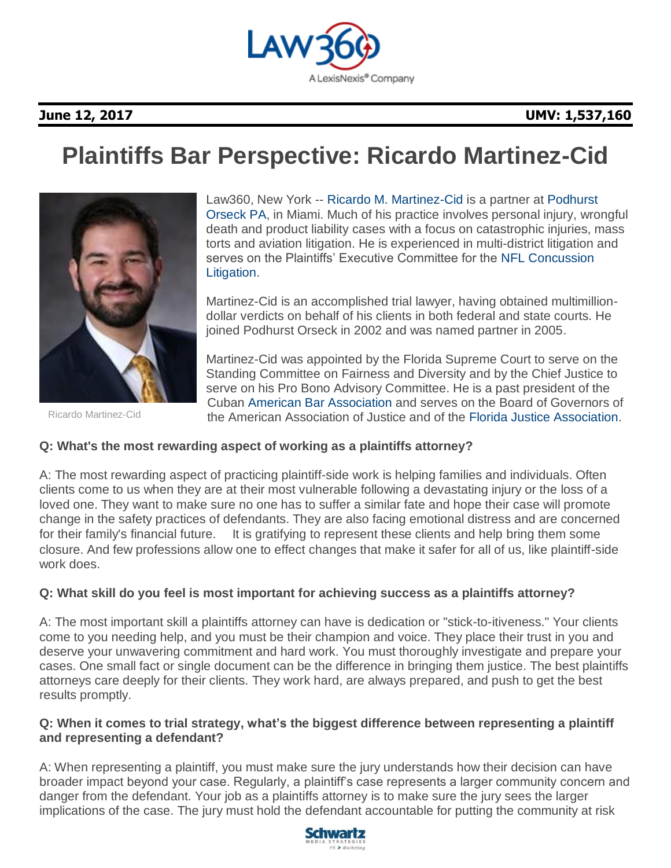

## **June 12, 2017 UMV: 1,537,160**

# **Plaintiffs Bar Perspective: Ricardo Martinez-Cid**



Ricardo Martinez-Cid

Law360, New York -- [Ricardo M. Martinez-Cid](http://www.podhurst.com/our-team/ricardo-martinez-cid/) is a partner at [Podhurst](https://www.law360.com/firms/podhurst-orseck)  [Orseck PA,](https://www.law360.com/firms/podhurst-orseck) in Miami. Much of his practice involves personal injury, wrongful death and product liability cases with a focus on catastrophic injuries, mass torts and aviation litigation. He is experienced in multi-district litigation and serves on the Plaintiffs' Executive Committee for the [NFL Concussion](https://www.law360.com/companies/nfl-enterprises-llc)  [Litigation.](https://www.law360.com/companies/nfl-enterprises-llc)

Martinez-Cid is an accomplished trial lawyer, having obtained multimilliondollar verdicts on behalf of his clients in both federal and state courts. He joined Podhurst Orseck in 2002 and was named partner in 2005.

Martinez-Cid was appointed by the Florida Supreme Court to serve on the Standing Committee on Fairness and Diversity and by the Chief Justice to serve on his Pro Bono Advisory Committee. He is a past president of the Cuban [American Bar Association](https://www.law360.com/companies/american-bar-association) and serves on the Board of Governors of the American Association of Justice and of the [Florida Justice Association.](https://www.law360.com/companies/florida-justice-association)

### **Q: What's the most rewarding aspect of working as a plaintiffs attorney?**

A: The most rewarding aspect of practicing plaintiff-side work is helping families and individuals. Often clients come to us when they are at their most vulnerable following a devastating injury or the loss of a loved one. They want to make sure no one has to suffer a similar fate and hope their case will promote change in the safety practices of defendants. They are also facing emotional distress and are concerned for their family's financial future. It is gratifying to represent these clients and help bring them some closure. And few professions allow one to effect changes that make it safer for all of us, like plaintiff-side work does.

### **Q: What skill do you feel is most important for achieving success as a plaintiffs attorney?**

A: The most important skill a plaintiffs attorney can have is dedication or "stick-to-itiveness." Your clients come to you needing help, and you must be their champion and voice. They place their trust in you and deserve your unwavering commitment and hard work. You must thoroughly investigate and prepare your cases. One small fact or single document can be the difference in bringing them justice. The best plaintiffs attorneys care deeply for their clients. They work hard, are always prepared, and push to get the best results promptly.

#### **Q: When it comes to trial strategy, what's the biggest difference between representing a plaintiff and representing a defendant?**

A: When representing a plaintiff, you must make sure the jury understands how their decision can have broader impact beyond your case. Regularly, a plaintiff's case represents a larger community concern and danger from the defendant. Your job as a plaintiffs attorney is to make sure the jury sees the larger implications of the case. The jury must hold the defendant accountable for putting the community at risk